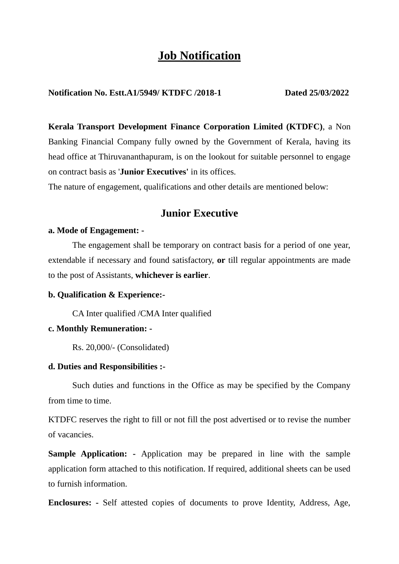# **Job Notification**

### **Notification No. Estt.A1/5949/ KTDFC /2018-1 Dated 25/03/2022**

**Kerala Transport Development Finance Corporation Limited (KTDFC)**, a Non Banking Financial Company fully owned by the Government of Kerala, having its head office at Thiruvananthapuram, is on the lookout for suitable personnel to engage on contract basis as '**Junior Executives'** in its offices.

The nature of engagement, qualifications and other details are mentioned below:

## **Junior Executive**

#### **a. Mode of Engagement: -**

The engagement shall be temporary on contract basis for a period of one year, extendable if necessary and found satisfactory, **or** till regular appointments are made to the post of Assistants, **whichever is earlier**.

#### **b. Qualification & Experience:-**

CA Inter qualified /CMA Inter qualified

#### **c. Monthly Remuneration: -**

Rs. 20,000/- (Consolidated)

#### **d. Duties and Responsibilities :-**

Such duties and functions in the Office as may be specified by the Company from time to time.

KTDFC reserves the right to fill or not fill the post advertised or to revise the number of vacancies.

**Sample Application: -** Application may be prepared in line with the sample application form attached to this notification. If required, additional sheets can be used to furnish information.

**Enclosures: -** Self attested copies of documents to prove Identity, Address, Age,